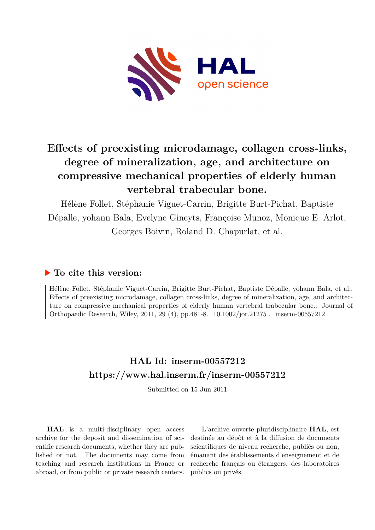

# **Effects of preexisting microdamage, collagen cross-links, degree of mineralization, age, and architecture on compressive mechanical properties of elderly human vertebral trabecular bone.**

Hélène Follet, Stéphanie Viguet-Carrin, Brigitte Burt-Pichat, Baptiste Dépalle, yohann Bala, Evelyne Gineyts, Françoise Munoz, Monique E. Arlot, Georges Boivin, Roland D. Chapurlat, et al.

### **To cite this version:**

Hélène Follet, Stéphanie Viguet-Carrin, Brigitte Burt-Pichat, Baptiste Dépalle, yohann Bala, et al.. Effects of preexisting microdamage, collagen cross-links, degree of mineralization, age, and architecture on compressive mechanical properties of elderly human vertebral trabecular bone.. Journal of Orthopaedic Research, Wiley, 2011, 29 (4), pp.481-8. 10.1002/jor.21275 . inserm-00557212

## **HAL Id: inserm-00557212 <https://www.hal.inserm.fr/inserm-00557212>**

Submitted on 15 Jun 2011

**HAL** is a multi-disciplinary open access archive for the deposit and dissemination of scientific research documents, whether they are published or not. The documents may come from teaching and research institutions in France or abroad, or from public or private research centers.

L'archive ouverte pluridisciplinaire **HAL**, est destinée au dépôt et à la diffusion de documents scientifiques de niveau recherche, publiés ou non, émanant des établissements d'enseignement et de recherche français ou étrangers, des laboratoires publics ou privés.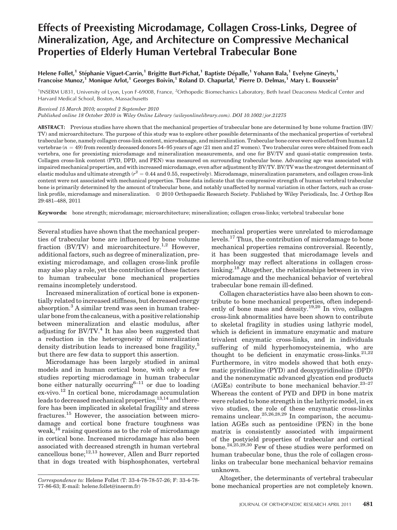### Effects of Preexisting Microdamage, Collagen Cross-Links, Degree of Mineralization, Age, and Architecture on Compressive Mechanical Properties of Elderly Human Vertebral Trabecular Bone

Helene Follet,<sup>1</sup> Stéphanie Viguet-Carrin,<sup>1</sup> Brigitte Burt-Pichat,<sup>1</sup> Baptiste Dépalle,<sup>1</sup> Yohann Bala,<sup>1</sup> Evelyne Gineyts,<sup>1</sup> Francoise Munoz,<sup>1</sup> Monique Arlot,<sup>1</sup> Georges Boivin,<sup>1</sup> Roland D. Chapurlat,<sup>1</sup> Pierre D. Delmas,<sup>1</sup> Mary L. Bouxsein<sup>2</sup>

<sup>1</sup>INSERM U831, University of Lyon, Lyon F-69008, France, <sup>2</sup>Orthopedic Biomechanics Laboratory, Beth Israel Deaconess Medical Center and Harvard Medical School, Boston, Massachusetts

Received 15 March 2010; accepted 2 September 2010

Published online 18 October 2010 in Wiley Online Library (wileyonlinelibrary.com). DOI 10.1002/jor.21275

ABSTRACT: Previous studies have shown that the mechanical properties of trabecular bone are determined by bone volume fraction (BV/ TV) and microarchitecture. The purpose of this study was to explore other possible determinants of the mechanical properties of vertebral trabecular bone, namely collagen cross-link content, microdamage, and mineralization. Trabecular bone cores were collected from human L2 vertebrae  $(n = 49)$  from recently deceased donors 54–95 years of age (21 men and 27 women). Two trabecular cores were obtained from each vertebra, one for preexisting microdamage and mineralization measurements, and one for BV/TV and quasi-static compression tests. Collagen cross-link content (PYD, DPD, and PEN) was measured on surrounding trabecular bone. Advancing age was associated with impaired mechanical properties, and with increased microdamage, even after adjustment by BV/TV. BV/TV was the strongest determinant of elastic modulus and ultimate strength ( $r^2 = 0.44$  and 0.55, respectively). Microdamage, mineralization parameters, and collagen cross-link content were not associated with mechanical properties. These data indicate that the compressive strength of human vertebral trabecular bone is primarily determined by the amount of trabecular bone, and notably unaffected by normal variation in other factors, such as crosslink profile, microdamage and mineralization.  $\oslash$  2010 Orthopaedic Research Society. Published by Wiley Periodicals, Inc. J Orthop Res 29:481–488, 2011

Keywords: bone strength; microdamage; microarchitecture; mineralization; collagen cross-links; vertebral trabecular bone

Several studies have shown that the mechanical properties of trabecular bone are influenced by bone volume fraction (BV/TV) and microarchitecture.<sup>1,2</sup> However, additional factors, such as degree of mineralization, preexisting microdamage, and collagen cross-link profile may also play a role, yet the contribution of these factors to human trabecular bone mechanical properties remains incompletely understood.

Increased mineralization of cortical bone is exponentially related to increased stiffness, but decreased energy absorption.<sup>3</sup> A similar trend was seen in human trabecular bone from the calcaneus, with a positive relationship between mineralization and elastic modulus, after adjusting for BV/TV.<sup>4</sup> It has also been suggested that a reduction in the heterogeneity of mineralization density distribution leads to increased bone fragility,<sup>5</sup> but there are few data to support this assertion.

Microdamage has been largely studied in animal models and in human cortical bone, with only a few studies reporting microdamage in human trabecular bone either naturally occurring  $6-11$  or due to loading ex-vivo.<sup>12</sup> In cortical bone, microdamage accumulation leads to decreased mechanical properties, $13,14$  and therefore has been implicated in skeletal fragility and stress fractures.<sup>15</sup> However, the association between microdamage and cortical bone fracture toughness was weak, $^{16}$  raising questions as to the role of microdamage in cortical bone. Increased microdamage has also been associated with decreased strength in human vertebral cancellous bone;12,13 however, Allen and Burr reported that in dogs treated with bisphosphonates, vertebral mechanical properties were unrelated to microdamage levels.<sup>17</sup> Thus, the contribution of microdamage to bone mechanical properties remains controversial. Recently, it has been suggested that microdamage levels and morphology may reflect alterations in collagen crosslinking.<sup>18</sup> Altogether, the relationships between in vivo microdamage and the mechanical behavior of vertebral trabecular bone remain ill-defined.

Collagen characteristics have also been shown to contribute to bone mechanical properties, often independently of bone mass and density.<sup>19,20</sup> In vivo, collagen cross-link abnormalities have been shown to contribute to skeletal fragility in studies using lathyric model, which is deficient in immature enzymatic and mature trivalent enzymatic cross-links, and in individuals suffering of mild hyperhomocysteinemia, who are thought to be deficient in enzymatic cross-links. $21,22$ Furthermore, in vitro models showed that both enzymatic pyridinoline (PYD) and deoxypyridinoline (DPD) and the nonenzymatic advanced glycation end products  $(AGEs)$  contribute to bone mechanical behavior.  $23-27$ Whereas the content of PYD and DPD in bone matrix were related to bone strength in the lathyric model, in ex vivo studies, the role of these enzymatic cross-links remains unclear.25,26,28,29 In comparison, the accumulation AGEs such as pentosidine (PEN) in the bone matrix is consistently associated with impairment of the postyield properties of trabecular and cortical bone.<sup>24,25,29,30</sup> Few of these studies were performed on human trabecular bone, thus the role of collagen crosslinks on trabecular bone mechanical behavior remains unknown.

Altogether, the determinants of vertebral trabecular bone mechanical properties are not completely known.

Correspondence to: Helene Follet (T: 33-4-78-78-57-26; F: 33-4-78- 77-86-63; E-mail: helene.follet@inserm.fr)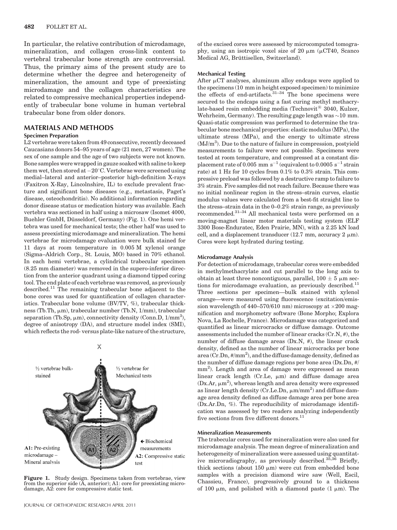In particular, the relative contribution of microdamage, mineralization, and collagen cross-link content to vertebral trabecular bone strength are controversial. Thus, the primary aims of the present study are to determine whether the degree and heterogeneity of mineralization, the amount and type of preexisting microdamage and the collagen characteristics are related to compressive mechanical properties independently of trabecular bone volume in human vertebral trabecular bone from older donors.

#### MATERIALS AND METHODS

#### Specimen Preparation

L2 vertebrae were taken from 49 consecutive, recently deceased Caucasians donors 54–95 years of age (21 men, 27 women). The sex of one sample and the age of two subjects were not known. Bone samples were wrapped in gauze soaked with saline to keep them wet, then stored at  $-20^{\circ}$ C. Vertebrae were screened using medial–lateral and anterior–posterior high-definition X-rays (Faxitron X-Ray, Lincolnshire, IL) to exclude prevalent fracture and significant bone diseases (e.g., metastasis, Paget's disease, osteochondritis). No additional information regarding donor disease status or medication history was available. Each vertebra was sectioned in half using a microsaw (Isomet 4000, Buehler GmbH, Düsseldorf, Germany) (Fig. 1). One hemi vertebra was used for mechanical tests; the other half was used to assess preexisting microdamage and mineralization. The hemi vertebrae for microdamage evaluation were bulk stained for 11 days at room temperature in 0.005 M xylenol orange (Sigma–Aldrich Corp., St. Louis, MO) based in 70% ethanol. In each hemi vertebrae, a cylindrical trabecular specimen (8.25 mm diameter) was removed in the supero-inferior direction from the anterior quadrant using a diamond tipped coring tool. The end plate of each vertebrae was removed, as previously described.<sup>11</sup> The remaining trabecular bone adjacent to the bone cores was used for quantification of collagen characteristics. Trabecular bone volume (BV/TV, %), trabecular thickness (Tb.Th,  $\mu$ m), trabecular number (Tb.N, 1/mm), trabecular separation (Tb.Sp,  $\mu$ m), connectivity density (Conn.D,  $1/\text{mm}^3$ ), degree of anisotropy (DA), and structure model index (SMI), which reflects the rod- versus plate-like nature of the structure,



Figure 1. Study design. Specimens taken from vertebrae, view from the superior side  $(\bar{A}, \text{anterior})$ ; A1: core for preexisting microdamage, A2: core for compressive static test.

JOURNAL OF ORTHOPAEDIC RESEARCH APRIL 2011

of the excised cores were assessed by microcomputed tomography, using an isotropic voxel size of 20  $\mu$ m ( $\mu$ CT40, Scanco Medical AG, Brüttisellen, Switzerland).

#### Mechanical Testing

After  $\mu$ CT analyses, aluminum alloy endcaps were applied to the specimens (10 mm in height exposed specimen) to minimize the effects of end-artifacts. $31-34$  The bone specimens were secured to the endcaps using a fast curing methyl methacrylate-based resin embedding media (Technovit<sup>®</sup> 3040, Kulzer, Wehrheim, Germany). The resulting gage length was  ${\sim}10\,$  mm. Quasi-static compression was performed to determine the trabecular bone mechanical properties: elastic modulus (MPa), the ultimate stress (MPa), and the energy to ultimate stress  $(MJ/m<sup>3</sup>)$ . Due to the nature of failure in compression, postyield measurements to failure were not possible. Specimens were tested at room temperature, and compressed at a constant displacement rate of 0.005 mm  $s^{-1}$  (equivalent to 0.0005  $s^{-1}$  strain rate) at 1 Hz for 10 cycles from 0.1% to 0.3% strain. This compressive preload was followed by a destructive ramp to failure to 3% strain. Five samples did not reach failure. Because there was no initial nonlinear region in the stress–strain curves, elastic modulus values were calculated from a best-fit straight line to the stress–strain data in the 0–0.2% strain range, as previously recommended.31–34 All mechanical tests were performed on a moving-magnet linear motor materials testing system (ELF 3300 Bose-Enduratec, Eden Prairie, MN), with a 2.25 kN load cell, and a displacement transducer (12.7 mm, accuracy  $2 \mu m$ ). Cores were kept hydrated during testing.

#### Microdamage Analysis

For detection of microdamage, trabecular cores were embedded in methylmethacrylate and cut parallel to the long axis to obtain at least three noncontiguous, parallel,  $100 \pm 5 \mu m$  sections for microdamage evaluation, as previously described.<sup>11</sup> Three sections per specimen—bulk stained with xylenol orange—were measured using fluorescence (excitation/emission wavelength of 440–570/610 nm) microscopy at  $\times 200$  magnification and morphometry software (Bone Morpho; Explora Nova, La Rochelle, France). Microdamage was categorized and quantified as linear microcracks or diffuse damage. Outcome assessments included the number of linear cracks (Cr.N, #), the number of diffuse damage areas (Dx.N, #), the linear crack density, defined as the number of linear microcracks per bone area (Cr.Dn,  $\#/$ mm<sup>2</sup>), and the diffuse damage density, defined as the number of diffuse damage regions per bone area (Dx.Dn, #/ mm<sup>2</sup>). Length and area of damage were expressed as mean linear crack length (Cr.Le,  $\mu$ m) and diffuse damage area (Dx.Ar,  $\mu$ m<sup>2</sup>), whereas length and area density were expressed as linear length density (Cr.Le.Dn,  $\mu$ m/mm<sup>2</sup>) and diffuse damage area density defined as diffuse damage area per bone area (Dx.Ar.Dn, %). The reproducibility of microdamage identification was assessed by two readers analyzing independently five sections from five different donors.<sup>11</sup>

#### Mineralization Measurements

The trabecular cores used for mineralization were also used for microdamage analysis. The mean degree of mineralization and heterogeneity of mineralization were assessed using quantitative microradiography, as previously described.<sup>35,36</sup> Briefly, thick sections (about 150  $\mu$ m) were cut from embedded bone samples with a precision diamond wire saw (Well, Escil, Chassieu, France), progressively ground to a thickness of 100  $\mu$ m, and polished with a diamond paste (1  $\mu$ m). The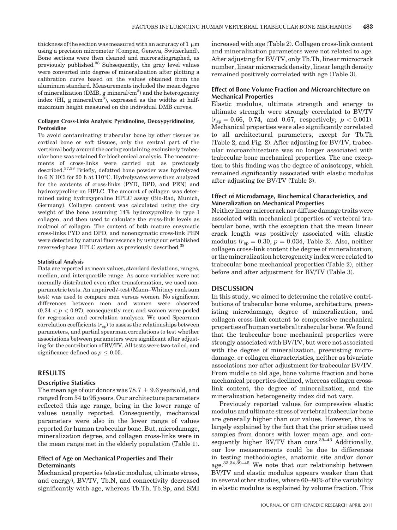thickness of the section was measured with an accuracy of  $1 \mu m$ using a precision micrometer (Compac, Geneva, Switzerland). Bone sections were then cleaned and microradiographed, as previously published.<sup>36</sup> Subsequently, the gray level values were converted into degree of mineralization after plotting a calibration curve based on the values obtained from the aluminum standard. Measurements included the mean degree of mineralization (DMB, g mineral/cm<sup>3</sup>) and the heterogeneity index (HI, g mineral/ $\text{cm}^3$ ), expressed as the widths at halfmaximum height measured on the individual DMB curves.

#### Collagen Cross-Links Analysis: Pyridinoline, Deoxypyridinoline, Pentosidine

To avoid contaminating trabecular bone by other tissues as cortical bone or soft tissues, only the central part of the vertebral body around the coring containing exclusively trabecular bone was retained for biochemical analysis. The measurements of cross-links were carried out as previously described.37,38 Briefly, defatted bone powder was hydrolyzed in 6 N HCl for 20 h at  $110^{\circ}$ C. Hydrolysates were then analyzed for the contents of cross-links (PYD, DPD, and PEN) and hydroxyproline on HPLC. The amount of collagen was determined using hydroxyproline HPLC assay (Bio-Rad, Munich, Germany). Collagen content was calculated using the dry weight of the bone assuming 14% hydroxyproline in type I collagen, and then used to calculate the cross-link levels as mol/mol of collagen. The content of both mature enzymatic cross-links PYD and DPD, and nonenzymatic cross-link PEN were detected by natural fluorescence by using our established reversed-phase HPLC system as previously described.<sup>38</sup>

#### Statistical Analysis

Data are reported as mean values, standard deviations, ranges, median, and interquartile range. As some variables were not normally distributed even after transformation, we used nonparametric tests. An unpaired t-test (Mann–Whitney rank sum test) was used to compare men versus women. No significant differences between men and women were observed  $(0.24 < p < 0.97)$ , consequently men and women were pooled for regression and correlation analyses. We used Spearman correlation coefficients  $(r_{sp})$  to assess the relationships between parameters, and partial spearman correlations to test whether associations between parameters were significant after adjusting for the contribution of BV/TV. All tests were two-tailed, and significance defined as  $p \leq 0.05$ .

#### RESULTS

#### Descriptive Statistics

The mean age of our donors was  $78.7 \pm 9.6$  years old, and ranged from 54 to 95 years. Our architecture parameters reflected this age range, being in the lower range of values usually reported. Consequently, mechanical parameters were also in the lower range of values reported for human trabecular bone. But, microdamage, mineralization degree, and collagen cross-links were in the mean range met in the elderly population (Table 1).

#### Effect of Age on Mechanical Properties and Their **Determinants**

Mechanical properties (elastic modulus, ultimate stress, and energy), BV/TV, Tb.N, and connectivity decreased significantly with age, whereas Tb.Th, Tb.Sp, and SMI

increased with age (Table 2). Collagen cross-link content and mineralization parameters were not related to age. After adjusting for BV/TV, only Tb.Th, linear microcrack number, linear microcrack density, linear length density remained positively correlated with age (Table 3).

#### Effect of Bone Volume Fraction and Microarchitecture on Mechanical Properties

Elastic modulus, ultimate strength and energy to ultimate strength were strongly correlated to BV/TV  $(r_{\rm sn} = 0.66, 0.74, \text{ and } 0.67, \text{ respectively}; p < 0.001$ ). Mechanical properties were also significantly correlated to all architectural parameters, except for Tb.Th (Table 2, and Fig. 2). After adjusting for BV/TV, trabecular microarchitecture was no longer associated with trabecular bone mechanical properties. The one exception to this finding was the degree of anisotropy, which remained significantly associated with elastic modulus after adjusting for BV/TV (Table 3).

#### Effect of Microdamage, Biochemical Characteristics, and Mineralization on Mechanical Properties

Neither linear microcrack nor diffuse damage traits were associated with mechanical properties of vertebral trabecular bone, with the exception that the mean linear crack length was positively associated with elastic modulus  $(r_{\rm sp} = 0.30, p = 0.034,$  Table 2). Also, neither collagen cross-link content the degree of mineralization, or the mineralization heterogeneity index were related to trabecular bone mechanical properties (Table 2), either before and after adjustment for BV/TV (Table 3).

#### **DISCUSSION**

In this study, we aimed to determine the relative contributions of trabecular bone volume, architecture, preexisting microdamage, degree of mineralization, and collagen cross-link content to compressive mechanical properties of human vertebral trabecular bone. We found that the trabecular bone mechanical properties were strongly associated with BV/TV, but were not associated with the degree of mineralization, preexisting microdamage, or collagen characteristics, neither as bivariate associations nor after adjustment for trabecular BV/TV. From middle to old age, bone volume fraction and bone mechanical properties declined, whereas collagen crosslink content, the degree of mineralization, and the mineralization heterogeneity index did not vary.

Previously reported values for compressive elastic modulus and ultimate stress of vertebral trabecular bone are generally higher than our values. However, this is largely explained by the fact that the prior studies used samples from donors with lower mean age, and consequently higher BV/TV than ours.<sup>39–43</sup> Additionally, our low measurements could be due to differences in testing methodologies, anatomic site and/or donor age.33,34,39–45 We note that our relationship between BV/TV and elastic modulus appears weaker than that in several other studies, where 60–80% of the variability in elastic modulus is explained by volume fraction. This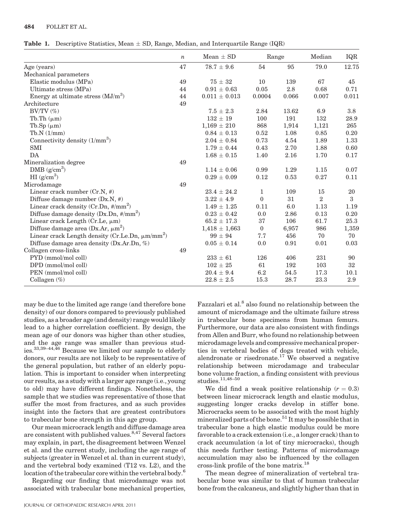#### 484 FOLLET ET AL.

**Table 1.** Descriptive Statistics, Mean  $\pm$  SD, Range, Median, and Interquartile Range (IQR)

|                                                      |    | Mean $\pm$ SD     | Range            |       | Median         | IQR            |
|------------------------------------------------------|----|-------------------|------------------|-------|----------------|----------------|
| Age (years)                                          | 47 | $78.7 \pm 9.6$    | 54               | 95    | 79.0           | 12.75          |
| Mechanical parameters                                |    |                   |                  |       |                |                |
| Elastic modulus (MPa)                                | 49 | $75 \pm 32$       | 10               | 139   | 67             | 45             |
| Ultimate stress (MPa)                                | 44 | $0.91 \pm 0.63$   | 0.05             | 2.8   | 0.68           | 0.71           |
| Energy at ultimate stress $(MJ/m^3)$                 | 44 | $0.011 \pm 0.013$ | 0.0004           | 0.066 | 0.007          | 0.011          |
| Architecture                                         | 49 |                   |                  |       |                |                |
| BV/TV $(\%)$                                         |    | $7.5 \pm 2.3$     | 2.84             | 13.62 | 6.9            | 3.8            |
| $Tb$ . Th $(\mu m)$                                  |    | $132 \pm 19$      | 100              | 191   | 132            | 28.9           |
| $Tb(Sp(\mu m))$                                      |    | $1,169 \pm 210$   | 868              | 1,914 | 1,121          | 265            |
| Tb.N(1/mm)                                           |    | $0.84 \pm 0.13$   | 0.52             | 1.08  | 0.85           | 0.20           |
| Connectivity density $(1/mm^3)$                      |    | $2.04 \pm 0.84$   | 0.73             | 4.54  | 1.89           | 1.33           |
| SMI                                                  |    | $1.79 \pm 0.44$   | 0.43             | 2.70  | 1.88           | 0.60           |
| DA                                                   |    | $1.68 \pm 0.15$   | 1.40             | 2.16  | 1.70           | 0.17           |
| Mineralization degree                                | 49 |                   |                  |       |                |                |
| DMB (g/cm <sup>3</sup> )                             |    | $1.14 \pm 0.06$   | 0.99             | 1.29  | 1.15           | 0.07           |
| HI (g/cm <sup>3</sup> )                              |    | $0.29 \pm 0.09$   | 0.12             | 0.53  | 0.27           | 0.11           |
| Microdamage                                          | 49 |                   |                  |       |                |                |
| Linear crack number (Cr.N, #)                        |    | $23.4 \pm 24.2$   | 1                | 109   | 15             | 20             |
| Diffuse damage number $(Dx.N, #)$                    |    | $3.22 \pm 4.9$    | $\boldsymbol{0}$ | 31    | $\overline{2}$ | $\overline{3}$ |
| Linear crack density $(Cr.Dn, \frac{\#}{mm^2})$      |    | $1.49 \pm 1.25$   | 0.11             | 6.0   | 1.13           | 1.19           |
| Diffuse damage density $(Dx.Dn, \frac{\#}{mm^2})$    |    | $0.23 \pm 0.42$   | 0.0              | 2.86  | 0.13           | 0.20           |
| Linear crack Length $(Cr.Le, \mu m)$                 |    | $65.2 \pm 17.3$   | 37               | 106   | 61.7           | 25.3           |
| Diffuse damage area $(Dx.Ar, \mu m^2)$               |    | $1,418 \pm 1,663$ | $\mathbf{0}$     | 6,957 | 986            | 1,359          |
| Linear crack Length density $(Cr.Le.Dn, \mu m/mm^2)$ |    | $99 \pm 94$       | 7.7              | 456   | 70             | 70             |
| Diffuse damage area density (Dx.Ar.Dn, %)            |    | $0.05 \pm 0.14$   | 0.0              | 0.91  | 0.01           | 0.03           |
| Collagen cross-links                                 | 49 |                   |                  |       |                |                |
| PYD (mmol/mol coll)                                  |    | $233 \pm 61$      | 126              | 406   | 231            | 90             |
| DPD (mmol/mol coll)                                  |    | $102 \pm 25$      | 61               | 192   | 103            | 32             |
| PEN (mmol/mol coll)                                  |    | $20.4 \pm 9.4$    | 6.2              | 54.5  | 17.3           | $10.1\,$       |
| Collagen $(\%)$                                      |    | $22.8 \pm 2.5$    | 15.3             | 28.7  | 23.3           | 2.9            |

may be due to the limited age range (and therefore bone density) of our donors compared to previously published studies, as a broader age (and density) range would likely lead to a higher correlation coefficient. By design, the mean age of our donors was higher than other studies, and the age range was smaller than previous studies.33,39–44,46 Because we limited our sample to elderly donors, our results are not likely to be representative of the general population, but rather of an elderly population. This is important to consider when interpreting our results, as a study with a larger age range (i.e., young to old) may have different findings. Nonetheless, the sample that we studies was representative of those that suffer the most from fractures, and as such provides insight into the factors that are greatest contributors to trabecular bone strength in this age group.

Our mean microcrack length and diffuse damage area are consistent with published values.<sup>8,47</sup> Several factors may explain, in part, the disagreement between Wenzel et al. and the current study, including the age range of subjects (greater in Wenzel et al. than in current study), and the vertebral body examined (T12 vs. L2), and the location of the trabecular core within the vertebral body.<sup>6</sup>

Regarding our finding that microdamage was not associated with trabecular bone mechanical properties,

JOURNAL OF ORTHOPAEDIC RESEARCH APRIL 2011

Fazzalari et al.<sup>8</sup> also found no relationship between the amount of microdamage and the ultimate failure stress in trabecular bone specimens from human femurs. Furthermore, our data are also consistent with findings from Allen and Burr, who found no relationship between microdamage levels and compressive mechanical properties in vertebral bodies of dogs treated with vehicle, alendronate or risedronate.<sup>17</sup> We observed a negative relationship between microdamage and trabecular bone volume fraction, a finding consistent with previous  $\mathrm{studies.}^{11,48-50}$ 

We did find a weak positive relationship  $(r = 0.3)$ between linear microcrack length and elastic modulus, suggesting longer cracks develop in stiffer bone. Microcracks seem to be associated with the most highly mineralized parts of the bone.<sup>51</sup> It may be possible that in trabecular bone a high elastic modulus could be more favorable to a crack extension (i.e., a longer crack) than to crack accumulation (a lot of tiny microcracks), though this needs further testing. Patterns of microdamage accumulation may also be influenced by the collagen cross-link profile of the bone matrix.18

The mean degree of mineralization of vertebral trabecular bone was similar to that of human trabecular bone from the calcaneus, and slightly higher than that in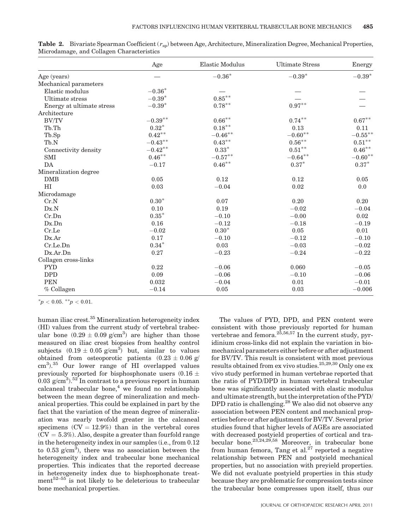|                             | Age               | <b>Elastic Modulus</b> | <b>Ultimate Stress</b> | Energy             |
|-----------------------------|-------------------|------------------------|------------------------|--------------------|
| Age (years)                 |                   | $-0.36^{\ast}$         | $-0.39^{\ast}$         | $-0.39^{\ast}$     |
| Mechanical parameters       |                   |                        |                        |                    |
| Elastic modulus             | $-0.36*$          |                        |                        |                    |
| Ultimate stress             | $-0.39*$          | $0.85^{\ast\ast}$      |                        |                    |
| Energy at ultimate stress   | $-0.39*$          | $0.78^{\ast\ast}$      | $0.97***$              |                    |
| Architecture                |                   |                        |                        |                    |
| BV/TV                       | $-0.39***$        | $0.66***$              | $0.74***$              | $0.67***$          |
| Tb.Th                       | $0.32^\ast$       | $0.18^{\ast\ast}$      | 0.13                   | 0.11               |
| Tb.Sp                       | $0.42***$         | $-0.46***$             | $-0.60^{\ast\ast}$     | $-0.55^{\ast\ast}$ |
| Tb.N                        | $-0.43***$        | $0.43***$              | $0.56***$              | $0.51^{\ast\ast}$  |
| Connectivity density        | $-0.42**$         | $0.33^{\ast}$          | $0.51^{\ast\ast}$      | $0.46***$          |
| SMI                         | $0.46^{\ast\ast}$ | $-0.57^{\ast\ast}$     | $-0.64***$             | $-0.60^{\ast\ast}$ |
| DA                          | $-0.17$           | $0.46***$              | $0.37^{\ast}$          | $0.37^\ast$        |
| Mineralization degree       |                   |                        |                        |                    |
| <b>DMB</b>                  | $0.05\,$          | 0.12                   | 0.12                   | 0.05               |
| H <sub>I</sub>              | 0.03              | $-0.04$                | 0.02                   | 0.0                |
| Microdamage                 |                   |                        |                        |                    |
| Cr.N                        | $0.30*$           | 0.07                   | 0.20                   | 0.20               |
| Dx.N                        | 0.10              | 0.19                   | $-0.02$                | $-0.04$            |
| Cr.Dn                       | $0.35^{\ast}$     | $-0.10$                | $-0.00$                | 0.02               |
| Dx.Dn                       | 0.16              | $-0.12$                | $-0.18$                | $-0.19$            |
| Cr.Le                       | $-0.02$           | $0.30^\ast$            | $0.05\,$               | 0.01               |
| Dx.Ar                       | 0.17              | $-0.10$                | $-0.12$                | $-0.10$            |
| Cr.Le.Dn                    | $0.34*$           | 0.03                   | $-0.03$                | $-0.02$            |
| Dx.Ar.Dn                    | 0.27              | $-0.23$                | $-0.24$                | $-0.22$            |
| Collagen cross-links        |                   |                        |                        |                    |
| <b>PYD</b>                  | 0.22              | $-0.06$                | 0.060                  | $-0.05$            |
| $\ensuremath{\mathsf{DPD}}$ | 0.09              | $-0.06$                | $-0.10$                | $-0.06$            |
| <b>PEN</b>                  | 0.032             | $-0.04$                | 0.01                   | $-0.01$            |
| % Collagen                  | $-0.14$           | 0.05                   | 0.03                   | $-0.006$           |

Table 2. Bivariate Spearman Coefficient  $(r_{sp})$  between Age, Architecture, Mineralization Degree, Mechanical Properties, Microdamage, and Collagen Characteristics

 $p^*$  < 0.05.  $p^*$  < 0.01.

human iliac crest.35 Mineralization heterogeneity index (HI) values from the current study of vertebral trabecular bone  $(0.29 \pm 0.09 \text{ g/cm}^3)$  are higher than those measured on iliac crest biopsies from healthy control subjects  $(0.19 \pm 0.05 \text{ g/cm}^3)$  but, similar to values obtained from osteoporotic patients  $(0.23 \pm 0.06 \text{ g})$ cm<sup>3</sup> ).35 Our lower range of HI overlapped values previously reported for bisphosphonate users  $(0.16 \pm$  $0.03$  g/cm<sup>3</sup>).<sup>52</sup> In contrast to a previous report in human calcaneal trabecular bone, $4 \text{ we found no relationship}$ between the mean degree of mineralization and mechanical properties. This could be explained in part by the fact that the variation of the mean degree of mineralization was nearly twofold greater in the calcaneal specimens  $(CV = 12.9\%)$  than in the vertebral cores  $(CV = 5.3\%)$ . Also, despite a greater than fourfold range in the heterogeneity index in our samples (i.e., from 0.12 to 0.53 g/cm<sup>3</sup>), there was no association between the heterogeneity index and trabecular bone mechanical properties. This indicates that the reported decrease in heterogeneity index due to bisphosphonate treat $ment^{52-55}$  is not likely to be deleterious to trabecular bone mechanical properties.

The values of PYD, DPD, and PEN content were consistent with those previously reported for human vertebrae and femora. $2^{5,56,57}$  In the current study, pyridinium cross-links did not explain the variation in biomechanical parameters either before or after adjustment for BV/TV. This result is consistent with most previous results obtained from ex vivo studies.<sup>25,29,30</sup> Only one ex vivo study performed in human vertebrae reported that the ratio of PYD/DPD in human vertebral trabecular bone was significantly associated with elastic modulus and ultimate strength, but the interpretation of the PYD/ DPD ratio is challenging.<sup>28</sup> We also did not observe any association between PEN content and mechanical properties before or after adjustment for BV/TV. Several prior studies found that higher levels of AGEs are associated with decreased postyield properties of cortical and trabecular bone.<sup>23,24,29,58</sup> Moreover, in trabecular bone from human femora, Tang et al. $^{27}$  reported a negative relationship between PEN and postyield mechanical properties, but no association with preyield properties. We did not evaluate postyield properties in this study because they are problematic for compression tests since the trabecular bone compresses upon itself, thus our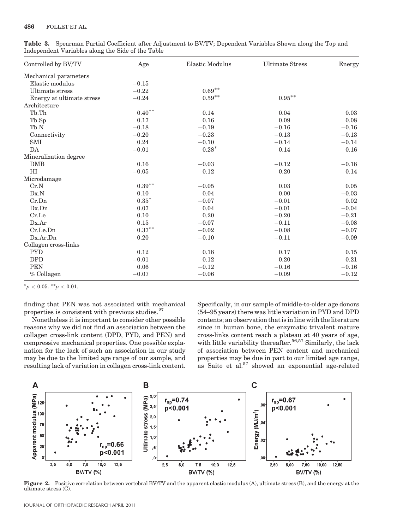| Controlled by BV/TV       | Elastic Modulus<br>Age |                   | <b>Ultimate Stress</b> | Energy  |  |
|---------------------------|------------------------|-------------------|------------------------|---------|--|
| Mechanical parameters     |                        |                   |                        |         |  |
| Elastic modulus           | $-0.15$                |                   |                        |         |  |
| Ultimate stress           | $-0.22$                | $0.69***$         |                        |         |  |
| Energy at ultimate stress | $-0.24$                | $0.59^{\ast\ast}$ | $0.95^{\ast\ast}$      |         |  |
| Architecture              |                        |                   |                        |         |  |
| Tb.Th                     | $0.40^{\ast\ast}$      | 0.14              | 0.04                   | 0.03    |  |
| Tb.Sp                     | 0.17                   | 0.16              | 0.09                   | 0.08    |  |
| Tb.N                      | $-0.18$                | $-0.19$           | $-0.16$                | $-0.16$ |  |
| Connectivity              | $-0.20$                | $-0.23$           | $-0.13$                | $-0.13$ |  |
| SMI                       | 0.24                   | $-0.10$           | $-0.14$                | $-0.14$ |  |
| DA                        | $-0.01$                | $0.28*$           | 0.14                   | 0.16    |  |
| Mineralization degree     |                        |                   |                        |         |  |
| <b>DMB</b>                | 0.16                   | $-0.03$           | $-0.12$                | $-0.18$ |  |
| H <sub>I</sub>            | $-0.05$                | 0.12              | 0.20                   | 0.14    |  |
| Microdamage               |                        |                   |                        |         |  |
| Cr.N                      | $0.39***$              | $-0.05$           | 0.03                   | 0.05    |  |
| Dx.N                      | 0.10                   | 0.04              | 0.00                   | $-0.03$ |  |
| Cr.Dn                     | $0.35*$                | $-0.07$           | $-0.01$                | 0.02    |  |
| Dx.Dn                     | 0.07                   | 0.04              | $-0.01$                | $-0.04$ |  |
| Cr.Le                     | 0.10                   | 0.20              | $-0.20$                | $-0.21$ |  |
| Dx.Ar                     | 0.15                   | $-0.07$           | $-0.11$                | $-0.08$ |  |
| Cr.Le.Dn                  | $0.37***$              | $-0.02$           | $-0.08$                | $-0.07$ |  |
| Dx.Ar.Dn                  | 0.20                   | $-0.10$           | $-0.11$                | $-0.09$ |  |
| Collagen cross-links      |                        |                   |                        |         |  |
| <b>PYD</b>                | 0.12                   | 0.18              | 0.17                   | 0.15    |  |
| <b>DPD</b>                | $-0.01$                | 0.12              | 0.20                   | 0.21    |  |
| <b>PEN</b>                | 0.06                   | $-0.12$           | $-0.16$                | $-0.16$ |  |
| % Collagen                | $-0.07$                | $-0.06$           | $-0.09$                | $-0.12$ |  |

Table 3. Spearman Partial Coefficient after Adjustment to BV/TV; Dependent Variables Shown along the Top and Independent Variables along the Side of the Table

 $p^*$  < 0.05.  $p^*$  < 0.01.

finding that PEN was not associated with mechanical properties is consistent with previous studies.<sup>27</sup>

Nonetheless it is important to consider other possible reasons why we did not find an association between the collagen cross-link content (DPD, PYD, and PEN) and compressive mechanical properties. One possible explanation for the lack of such an association in our study may be due to the limited age range of our sample, and resulting lack of variation in collagen cross-link content.

Specifically, in our sample of middle-to-older age donors (54–95 years) there was little variation in PYD and DPD contents; an observation that is in line with the literature since in human bone, the enzymatic trivalent mature cross-links content reach a plateau at 40 years of age, with little variability thereafter.<sup>56,57</sup> Similarly, the lack of association between PEN content and mechanical properties may be due in part to our limited age range, as Saito et al.<sup>57</sup> showed an exponential age-related



Figure 2. Positive correlation between vertebral BV/TV and the apparent elastic modulus (A), ultimate stress (B), and the energy at the ultimate stress (C).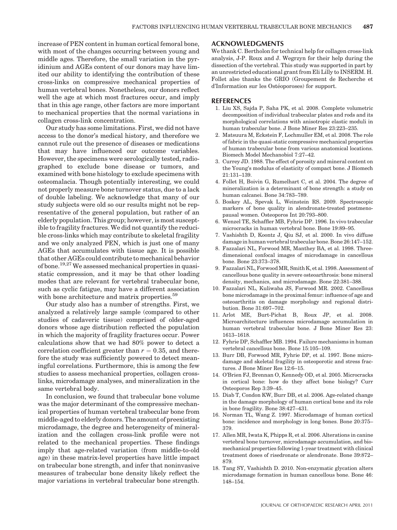increase of PEN content in human cortical femoral bone, with most of the changes occurring between young and middle ages. Therefore, the small variation in the pyridinium and AGEs content of our donors may have limited our ability to identifying the contribution of these cross-links on compressive mechanical properties of human vertebral bones. Nonetheless, our donors reflect well the age at which most fractures occur, and imply that in this age range, other factors are more important to mechanical properties that the normal variations in collagen cross-link concentration.

Our study has some limitations. First, we did not have access to the donor's medical history, and therefore we cannot rule out the presence of diseases or medications that may have influenced our outcome variables. However, the specimens were serologically tested, radiographed to exclude bone disease or tumors, and examined with bone histology to exclude specimens with osteomalacia. Though potentially interesting, we could not properly measure bone turnover status, due to a lack of double labeling. We acknowledge that many of our study subjects were old so our results might not be representative of the general population, but rather of an elderly population. This group; however, is most susceptible to fragility fractures. We did not quantify the reducible cross-links which may contribute to skeletal fragility and we only analyzed PEN, which is just one of many AGEs that accumulates with tissue age. It is possible that other AGEs could contribute to mechanical behavior of bone.19,27 We assessed mechanical properties in quasistatic compression, and it may be that other loading modes that are relevant for vertebral trabecular bone, such as cyclic fatigue, may have a different association with bone architecture and matrix properties.<sup>59</sup>

Our study also has a number of strengths. First, we analyzed a relatively large sample (compared to other studies of cadaveric tissue) comprised of older-aged donors whose age distribution reflected the population in which the majority of fragility fractures occur. Power calculations show that we had 80% power to detect a correlation coefficient greater than  $r = 0.35$ , and therefore the study was sufficiently powered to detect meaningful correlations. Furthermore, this is among the few studies to assess mechanical properties, collagen crosslinks, microdamage analyses, and mineralization in the same vertebral body.

In conclusion, we found that trabecular bone volume was the major determinant of the compressive mechanical properties of human vertebral trabecular bone from middle-aged to elderly donors. The amount of preexisting microdamage, the degree and heterogeneity of mineralization and the collagen cross-link profile were not related to the mechanical properties. These findings imply that age-related variation (from middle-to-old age) in these matrix-level properties have little impact on trabecular bone strength, and infer that noninvasive measures of trabecular bone density likely reflect the major variations in vertebral trabecular bone strength.

#### ACKNOWLEDGMENTS

We thank C. Bertholon for technical help for collagen cross-link analysis, J-P. Roux and J. Wegrzyn for their help during the dissection of the vertebral. This study was supported in part by an unrestricted educational grant from Eli Lilly to INSERM. H. Follet also thanks the GRIO (Groupement de Recherche et d'Information sur les Ostéoporoses) for support.

#### REFERENCES

- 1. Liu XS, Sajda P, Saha PK, et al. 2008. Complete volumetric decomposition of individual trabecular plates and rods and its morphological correlations with anisotropic elastic moduli in human trabecular bone. J Bone Miner Res 23:223–235.
- 2. Matsuura M, Eckstein F, Lochmuller EM, et al. 2008. The role of fabric in the quasi-static compressive mechanical properties of human trabecular bone from various anatomical locations. Biomech Model Mechanobiol 7:27–42.
- 3. Currey JD. 1988. The effect of porosity and mineral content on the Young's modulus of elasticity of compact bone. J Biomech 21:131–139.
- 4. Follet H, Boivin G, Rumelhart C, et al. 2004. The degree of mineralization is a determinant of bone strength: a study on human calcanei. Bone 34:783–789.
- 5. Boskey AL, Spevak L, Weinstein RS. 2009. Spectroscopic markers of bone quality in alendronate-treated postmenopausal women. Osteoporos Int 20:793–800.
- 6. Wenzel TE, Schaffler MB, Fyhrie DP. 1996. In vivo trabecular microcracks in human vertebral bone. Bone 19:89–95.
- 7. Vashishth D, Koontz J, Qiu SJ, et al. 2000. In vivo diffuse damage in human vertebral trabecular bone. Bone 26:147–152.
- 8. Fazzalari NL, Forwood MR, Manthey BA, et al. 1998. Threedimensional confocal images of microdamage in cancellous bone. Bone 23:373–378.
- 9. Fazzalari NL, Forwood MR, Smith K, et al. 1998. Assessment of cancellous bone quality in severe osteoarthrosis: bone mineral density, mechanics, and microdamage. Bone 22:381–388.
- 10. Fazzalari NL, Kuliwaba JS, Forwood MR. 2002. Cancellous bone microdamage in the proximal femur: influence of age and osteoarthritis on damage morphology and regional distribution. Bone 31:697–702.
- 11. Arlot ME, Burt-Pichat B, Roux JP, et al. 2008. Microarchitecture influences microdamage accumulation in human vertebral trabecular bone. J Bone Miner Res 23: 1613–1618.
- 12. Fyhrie DP, Schaffler MB. 1994. Failure mechanisms in human vertebral cancellous bone. Bone 15:105–109.
- 13. Burr DB, Forwood MR, Fyhrie DP, et al. 1997. Bone microdamage and skeletal fragility in osteoporotic and stress fractures. J Bone Miner Res 12:6–15.
- 14. O'Brien FJ, Brennan O, Kennedy OD, et al. 2005. Microcracks in cortical bone: how do they affect bone biology? Curr Osteoporos Rep 3:39–45.
- 15. Diab T, Condon KW, Burr DB, et al. 2006. Age-related change in the damage morphology of human cortical bone and its role in bone fragility. Bone 38:427–431.
- 16. Norman TL, Wang Z. 1997. Microdamage of human cortical bone: incidence and morphology in long bones. Bone 20:375– 379.
- 17. Allen MR, Iwata K, Phipps R, et al. 2006. Alterations in canine vertebral bone turnover, microdamage accumulation, and biomechanical properties following 1-year treatment with clinical treatment doses of risedronate or alendronate. Bone 39:872– 879.
- 18. Tang SY, Vashishth D. 2010. Non-enzymatic glycation alters microdamage formation in human cancellous bone. Bone 46: 148–154.